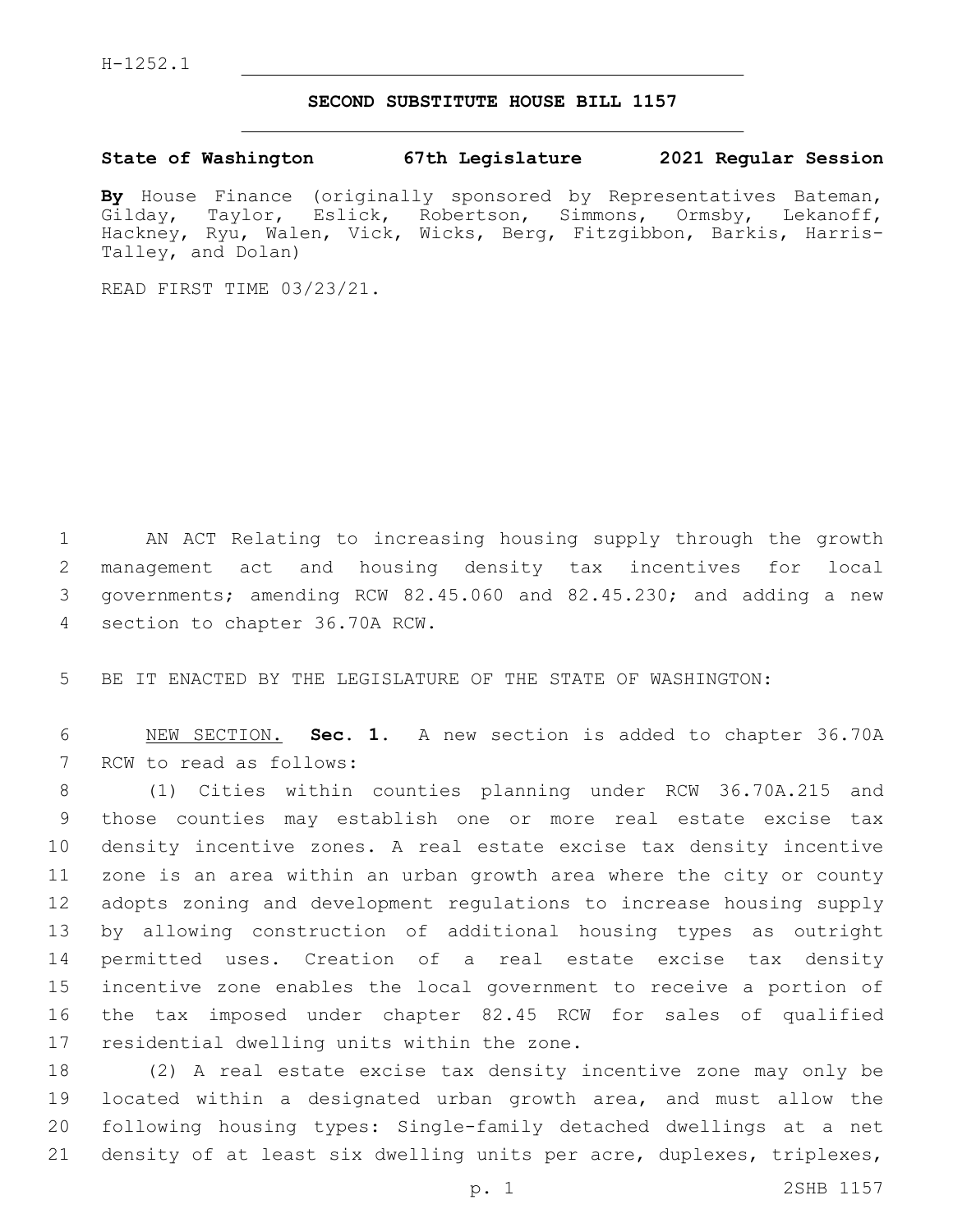## **SECOND SUBSTITUTE HOUSE BILL 1157**

**State of Washington 67th Legislature 2021 Regular Session**

By House Finance (originally sponsored by Representatives Bateman,<br>Gilday, Taylor, Eslick, Robertson, Simmons, Ormsby, Lekanoff, Gilday, Taylor, Eslick, Robertson, Simmons, Ormsby, Lekanoff, Hackney, Ryu, Walen, Vick, Wicks, Berg, Fitzgibbon, Barkis, Harris-Talley, and Dolan)

READ FIRST TIME 03/23/21.

 AN ACT Relating to increasing housing supply through the growth management act and housing density tax incentives for local governments; amending RCW 82.45.060 and 82.45.230; and adding a new 4 section to chapter 36.70A RCW.

5 BE IT ENACTED BY THE LEGISLATURE OF THE STATE OF WASHINGTON:

6 NEW SECTION. **Sec. 1.** A new section is added to chapter 36.70A 7 RCW to read as follows:

 (1) Cities within counties planning under RCW 36.70A.215 and those counties may establish one or more real estate excise tax density incentive zones. A real estate excise tax density incentive zone is an area within an urban growth area where the city or county adopts zoning and development regulations to increase housing supply by allowing construction of additional housing types as outright permitted uses. Creation of a real estate excise tax density incentive zone enables the local government to receive a portion of the tax imposed under chapter 82.45 RCW for sales of qualified 17 residential dwelling units within the zone.

 (2) A real estate excise tax density incentive zone may only be located within a designated urban growth area, and must allow the following housing types: Single-family detached dwellings at a net density of at least six dwelling units per acre, duplexes, triplexes,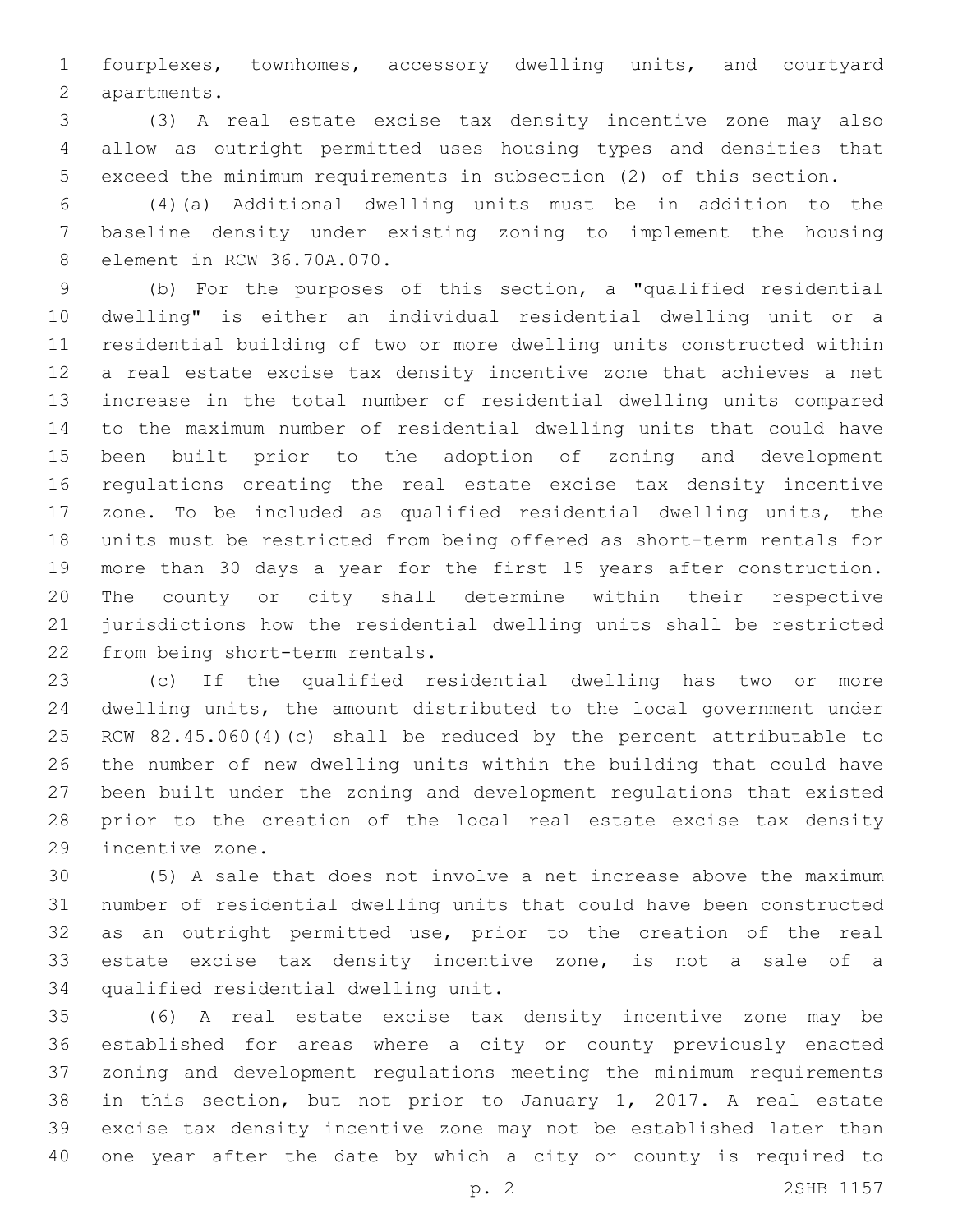fourplexes, townhomes, accessory dwelling units, and courtyard 2 apartments.

 (3) A real estate excise tax density incentive zone may also allow as outright permitted uses housing types and densities that exceed the minimum requirements in subsection (2) of this section.

 (4)(a) Additional dwelling units must be in addition to the baseline density under existing zoning to implement the housing 8 element in RCW 36.70A.070.

 (b) For the purposes of this section, a "qualified residential dwelling" is either an individual residential dwelling unit or a residential building of two or more dwelling units constructed within a real estate excise tax density incentive zone that achieves a net increase in the total number of residential dwelling units compared to the maximum number of residential dwelling units that could have been built prior to the adoption of zoning and development regulations creating the real estate excise tax density incentive zone. To be included as qualified residential dwelling units, the units must be restricted from being offered as short-term rentals for more than 30 days a year for the first 15 years after construction. The county or city shall determine within their respective jurisdictions how the residential dwelling units shall be restricted 22 from being short-term rentals.

 (c) If the qualified residential dwelling has two or more dwelling units, the amount distributed to the local government under RCW 82.45.060(4)(c) shall be reduced by the percent attributable to the number of new dwelling units within the building that could have been built under the zoning and development regulations that existed prior to the creation of the local real estate excise tax density 29 incentive zone.

 (5) A sale that does not involve a net increase above the maximum number of residential dwelling units that could have been constructed as an outright permitted use, prior to the creation of the real estate excise tax density incentive zone, is not a sale of a 34 qualified residential dwelling unit.

 (6) A real estate excise tax density incentive zone may be established for areas where a city or county previously enacted zoning and development regulations meeting the minimum requirements in this section, but not prior to January 1, 2017. A real estate excise tax density incentive zone may not be established later than one year after the date by which a city or county is required to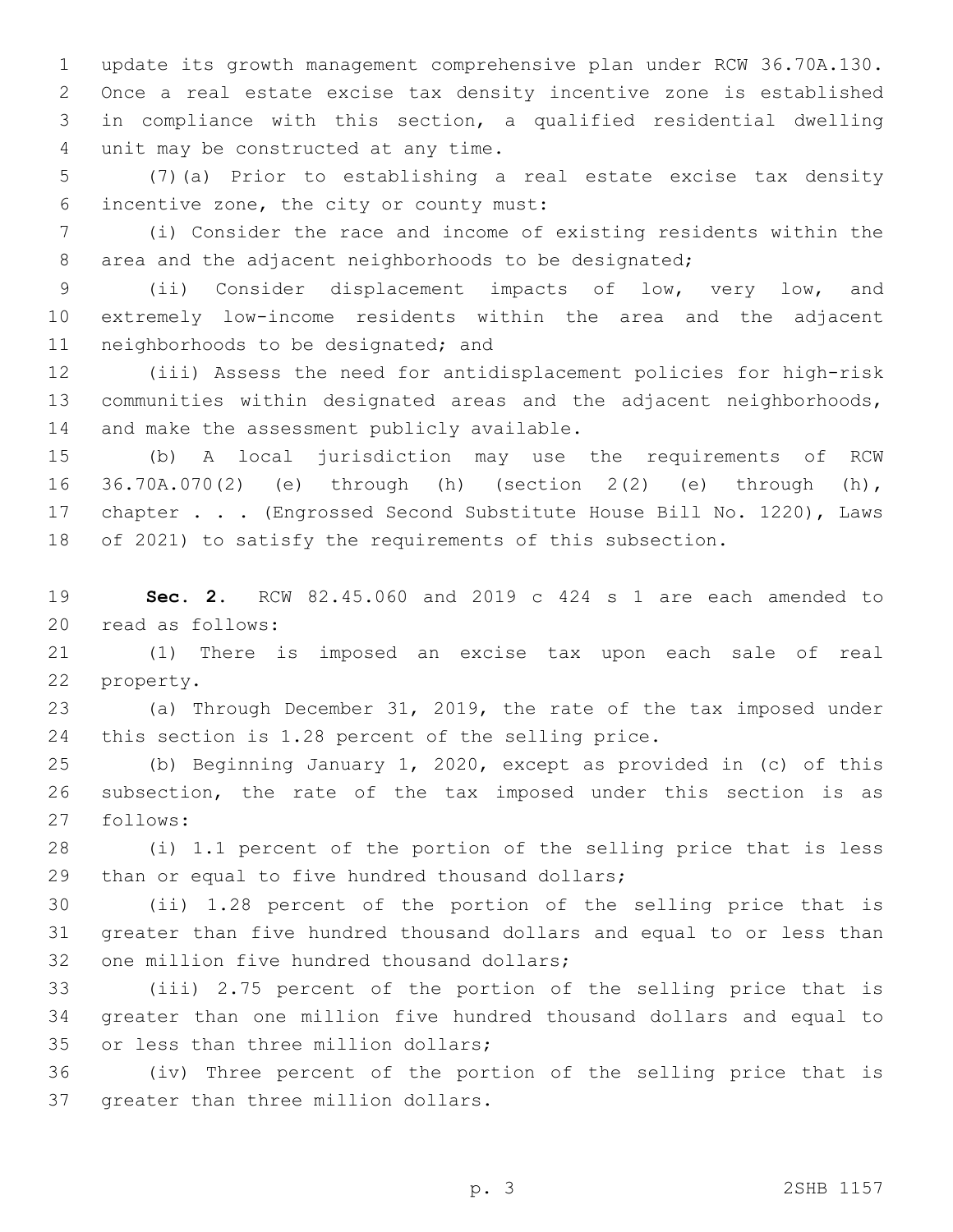update its growth management comprehensive plan under RCW 36.70A.130. Once a real estate excise tax density incentive zone is established in compliance with this section, a qualified residential dwelling unit may be constructed at any time.4

 (7)(a) Prior to establishing a real estate excise tax density incentive zone, the city or county must:6

 (i) Consider the race and income of existing residents within the 8 area and the adjacent neighborhoods to be designated;

 (ii) Consider displacement impacts of low, very low, and extremely low-income residents within the area and the adjacent 11 neighborhoods to be designated; and

 (iii) Assess the need for antidisplacement policies for high-risk communities within designated areas and the adjacent neighborhoods, 14 and make the assessment publicly available.

 (b) A local jurisdiction may use the requirements of RCW 36.70A.070(2) (e) through (h) (section 2(2) (e) through (h), chapter . . . (Engrossed Second Substitute House Bill No. 1220), Laws of 2021) to satisfy the requirements of this subsection.

 **Sec. 2.** RCW 82.45.060 and 2019 c 424 s 1 are each amended to 20 read as follows:

 (1) There is imposed an excise tax upon each sale of real 22 property.

 (a) Through December 31, 2019, the rate of the tax imposed under this section is 1.28 percent of the selling price.

 (b) Beginning January 1, 2020, except as provided in (c) of this subsection, the rate of the tax imposed under this section is as 27 follows:

 (i) 1.1 percent of the portion of the selling price that is less 29 than or equal to five hundred thousand dollars;

 (ii) 1.28 percent of the portion of the selling price that is greater than five hundred thousand dollars and equal to or less than 32 one million five hundred thousand dollars;

 (iii) 2.75 percent of the portion of the selling price that is greater than one million five hundred thousand dollars and equal to 35 or less than three million dollars;

 (iv) Three percent of the portion of the selling price that is 37 greater than three million dollars.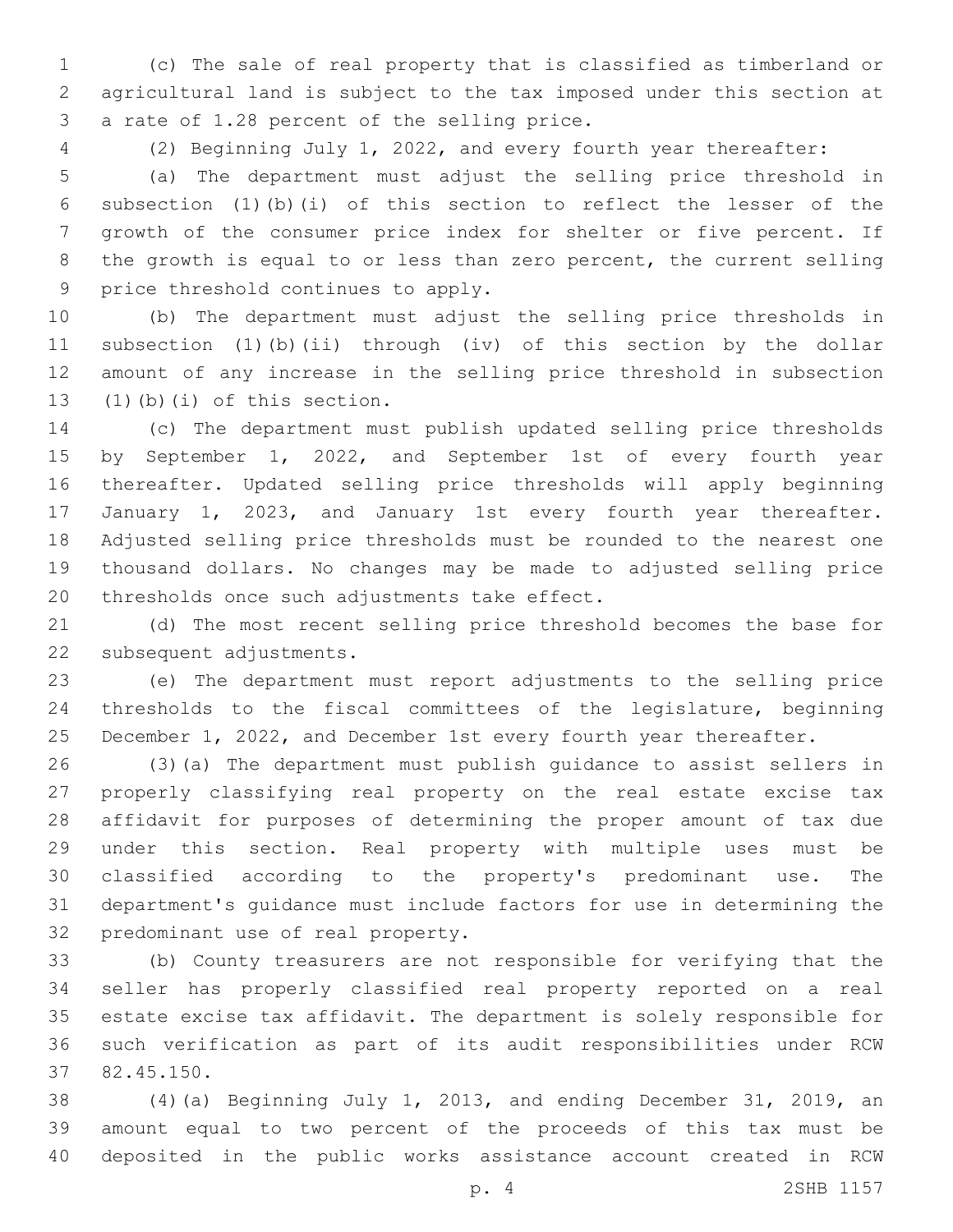(c) The sale of real property that is classified as timberland or agricultural land is subject to the tax imposed under this section at 3 a rate of 1.28 percent of the selling price.

(2) Beginning July 1, 2022, and every fourth year thereafter:

 (a) The department must adjust the selling price threshold in subsection (1)(b)(i) of this section to reflect the lesser of the growth of the consumer price index for shelter or five percent. If the growth is equal to or less than zero percent, the current selling 9 price threshold continues to apply.

 (b) The department must adjust the selling price thresholds in subsection (1)(b)(ii) through (iv) of this section by the dollar amount of any increase in the selling price threshold in subsection  $(1)(b)(i)$  of this section.

 (c) The department must publish updated selling price thresholds by September 1, 2022, and September 1st of every fourth year thereafter. Updated selling price thresholds will apply beginning January 1, 2023, and January 1st every fourth year thereafter. Adjusted selling price thresholds must be rounded to the nearest one thousand dollars. No changes may be made to adjusted selling price 20 thresholds once such adjustments take effect.

 (d) The most recent selling price threshold becomes the base for 22 subsequent adjustments.

 (e) The department must report adjustments to the selling price thresholds to the fiscal committees of the legislature, beginning 25 December 1, 2022, and December 1st every fourth year thereafter.

 (3)(a) The department must publish guidance to assist sellers in properly classifying real property on the real estate excise tax affidavit for purposes of determining the proper amount of tax due under this section. Real property with multiple uses must be classified according to the property's predominant use. The department's guidance must include factors for use in determining the 32 predominant use of real property.

 (b) County treasurers are not responsible for verifying that the seller has properly classified real property reported on a real estate excise tax affidavit. The department is solely responsible for such verification as part of its audit responsibilities under RCW 82.45.150.37

 (4)(a) Beginning July 1, 2013, and ending December 31, 2019, an amount equal to two percent of the proceeds of this tax must be deposited in the public works assistance account created in RCW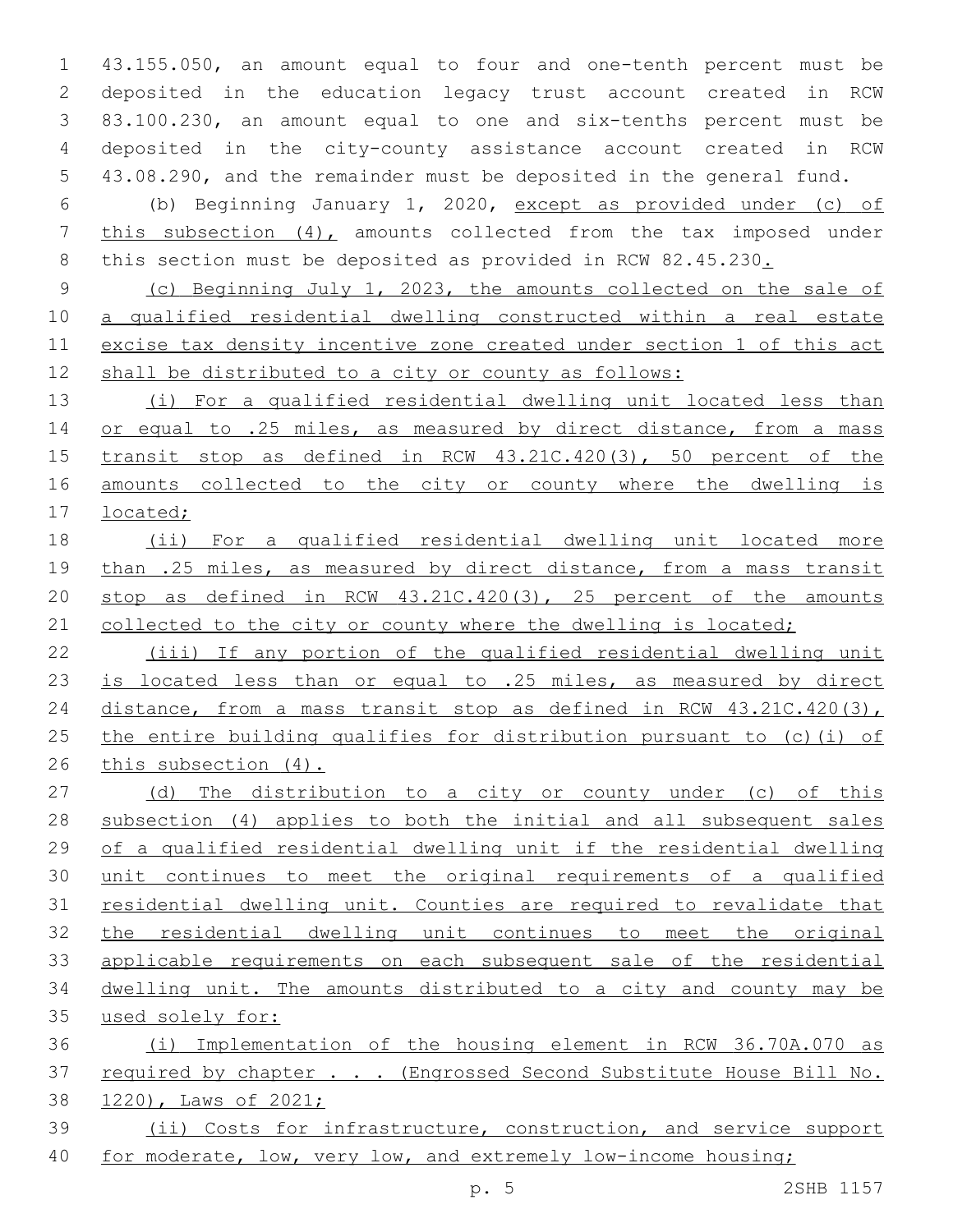43.155.050, an amount equal to four and one-tenth percent must be deposited in the education legacy trust account created in RCW 83.100.230, an amount equal to one and six-tenths percent must be deposited in the city-county assistance account created in RCW 43.08.290, and the remainder must be deposited in the general fund.

 (b) Beginning January 1, 2020, except as provided under (c) of this subsection (4), amounts collected from the tax imposed under 8 this section must be deposited as provided in RCW 82.45.230.

 (c) Beginning July 1, 2023, the amounts collected on the sale of a qualified residential dwelling constructed within a real estate excise tax density incentive zone created under section 1 of this act shall be distributed to a city or county as follows:

 (i) For a qualified residential dwelling unit located less than 14 or equal to .25 miles, as measured by direct distance, from a mass transit stop as defined in RCW 43.21C.420(3), 50 percent of the amounts collected to the city or county where the dwelling is located;

 (ii) For a qualified residential dwelling unit located more 19 than .25 miles, as measured by direct distance, from a mass transit stop as defined in RCW 43.21C.420(3), 25 percent of the amounts 21 collected to the city or county where the dwelling is located;

 (iii) If any portion of the qualified residential dwelling unit is located less than or equal to .25 miles, as measured by direct 24 distance, from a mass transit stop as defined in RCW 43.21C.420(3), the entire building qualifies for distribution pursuant to (c)(i) of this subsection (4).

27 (d) The distribution to a city or county under (c) of this subsection (4) applies to both the initial and all subsequent sales of a qualified residential dwelling unit if the residential dwelling unit continues to meet the original requirements of a qualified residential dwelling unit. Counties are required to revalidate that the residential dwelling unit continues to meet the original applicable requirements on each subsequent sale of the residential dwelling unit. The amounts distributed to a city and county may be used solely for:

 (i) Implementation of the housing element in RCW 36.70A.070 as 37 required by chapter . . . (Engrossed Second Substitute House Bill No. 1220), Laws of 2021; (ii) Costs for infrastructure, construction, and service support

40 for moderate, low, very low, and extremely low-income housing;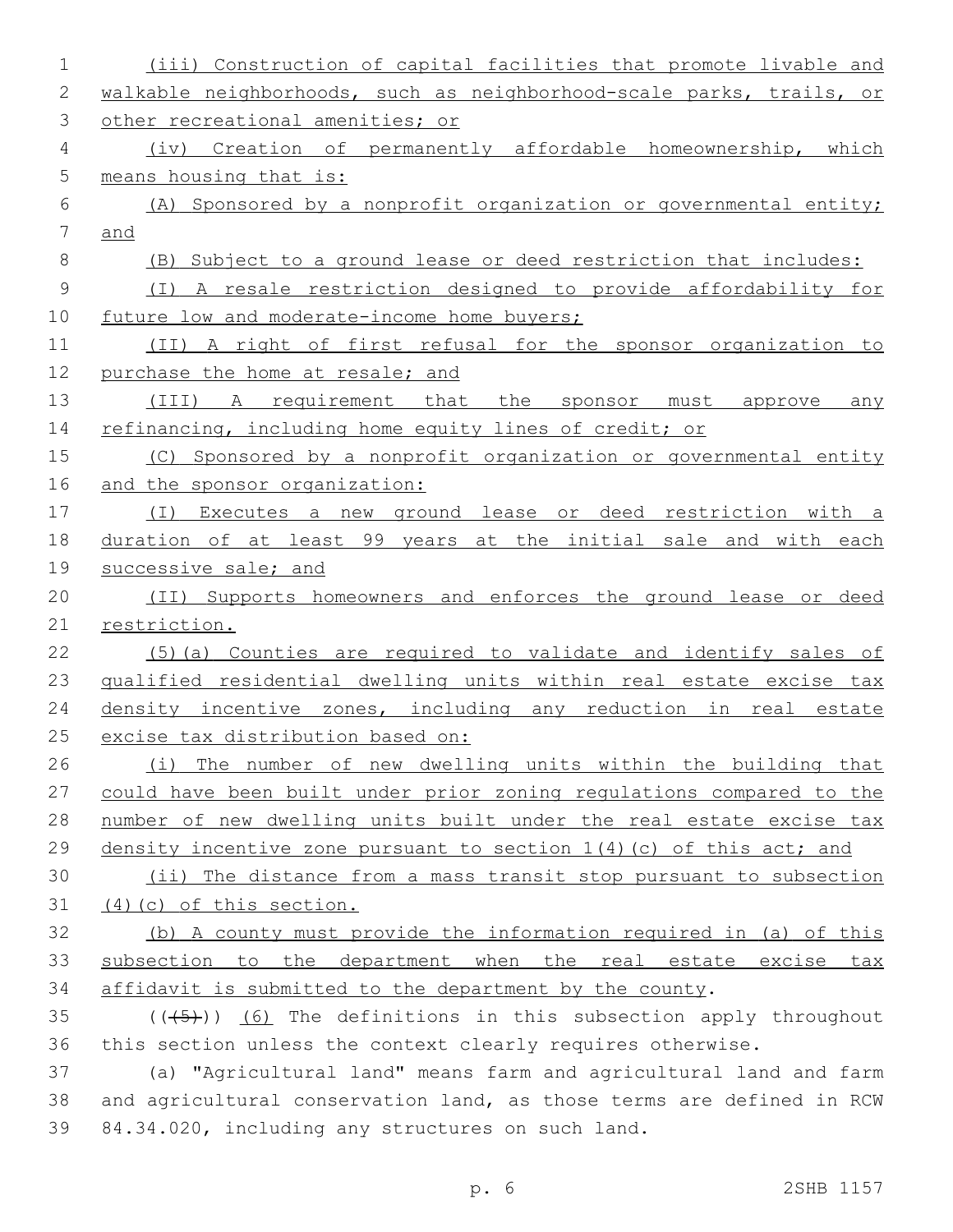| $\mathbf 1$    | (iii) Construction of capital facilities that promote livable and      |
|----------------|------------------------------------------------------------------------|
| 2              | walkable neighborhoods, such as neighborhood-scale parks, trails, or   |
| 3              | other recreational amenities; or                                       |
| 4              | (iv) Creation of permanently affordable homeownership, which           |
| 5              | means housing that is:                                                 |
| 6              | (A) Sponsored by a nonprofit organization or governmental entity;      |
| $\overline{7}$ | and                                                                    |
| 8              | (B) Subject to a ground lease or deed restriction that includes:       |
| $\mathcal{G}$  | (I) A resale restriction designed to provide affordability for         |
| 10             | future low and moderate-income home buyers;                            |
| 11             | (II) A right of first refusal for the sponsor organization to          |
| 12             | purchase the home at resale; and                                       |
| 13             | (III) A requirement that the sponsor must approve any                  |
| 14             | refinancing, including home equity lines of credit; or                 |
| 15             | (C) Sponsored by a nonprofit organization or governmental entity       |
| 16             | and the sponsor organization:                                          |
| 17             | (I) Executes a new ground lease or deed restriction with a             |
| 18             | duration of at least 99 years at the initial sale and with each        |
| 19             | successive sale; and                                                   |
| 20             | (II) Supports homeowners and enforces the ground lease or deed         |
| 21             | restriction.                                                           |
| 22             | (5) (a) Counties are required to validate and identify sales of        |
| 23             | qualified residential dwelling units within real estate excise tax     |
| 24             | density incentive zones, including any reduction in real estate        |
| 25             | excise tax distribution based on:                                      |
| 26             | (i) The number of new dwelling units within the building that          |
| 27             | could have been built under prior zoning regulations compared to the   |
| 28             | number of new dwelling units built under the real estate excise tax    |
| 29             | density incentive zone pursuant to section $1(4)$ (c) of this act; and |
| 30             | (ii) The distance from a mass transit stop pursuant to subsection      |
| 31             | (4) (c) of this section.                                               |
| 32             | (b) A county must provide the information required in (a) of this      |
| 33             | subsection to the department when the real estate excise tax           |
| 34             | affidavit is submitted to the department by the county.                |
| 35             | $((+5))$ (6) The definitions in this subsection apply throughout       |
| 36             | this section unless the context clearly requires otherwise.            |
| 37             | (a) "Agricultural land" means farm and agricultural land and farm      |
| 38             | and agricultural conservation land, as those terms are defined in RCW  |
| 39             | 84.34.020, including any structures on such land.                      |
|                |                                                                        |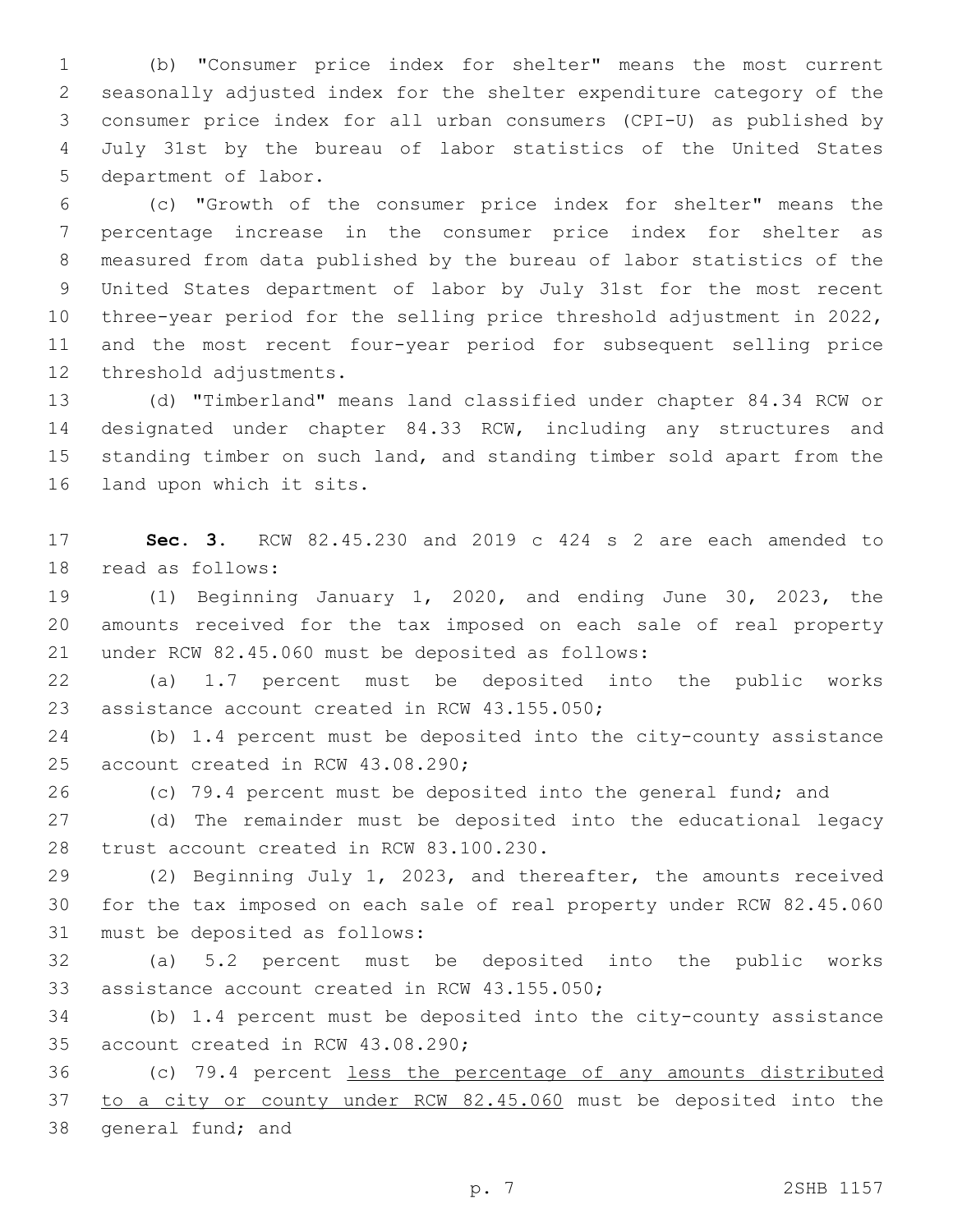(b) "Consumer price index for shelter" means the most current seasonally adjusted index for the shelter expenditure category of the consumer price index for all urban consumers (CPI-U) as published by July 31st by the bureau of labor statistics of the United States 5 department of labor.

 (c) "Growth of the consumer price index for shelter" means the percentage increase in the consumer price index for shelter as measured from data published by the bureau of labor statistics of the United States department of labor by July 31st for the most recent three-year period for the selling price threshold adjustment in 2022, and the most recent four-year period for subsequent selling price 12 threshold adjustments.

 (d) "Timberland" means land classified under chapter 84.34 RCW or designated under chapter 84.33 RCW, including any structures and standing timber on such land, and standing timber sold apart from the 16 land upon which it sits.

 **Sec. 3.** RCW 82.45.230 and 2019 c 424 s 2 are each amended to 18 read as follows:

 (1) Beginning January 1, 2020, and ending June 30, 2023, the amounts received for the tax imposed on each sale of real property 21 under RCW 82.45.060 must be deposited as follows:

 (a) 1.7 percent must be deposited into the public works 23 assistance account created in RCW 43.155.050;

 (b) 1.4 percent must be deposited into the city-county assistance 25 account created in RCW 43.08.290;

(c) 79.4 percent must be deposited into the general fund; and

 (d) The remainder must be deposited into the educational legacy 28 trust account created in RCW 83.100.230.

 (2) Beginning July 1, 2023, and thereafter, the amounts received for the tax imposed on each sale of real property under RCW 82.45.060 31 must be deposited as follows:

 (a) 5.2 percent must be deposited into the public works 33 assistance account created in RCW 43.155.050;

 (b) 1.4 percent must be deposited into the city-county assistance 35 account created in RCW 43.08.290;

 (c) 79.4 percent less the percentage of any amounts distributed to a city or county under RCW 82.45.060 must be deposited into the 38 general fund; and